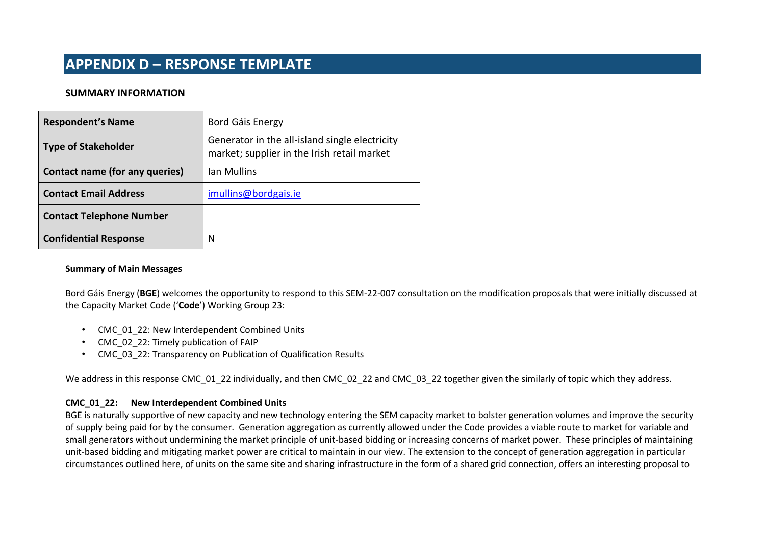#### **SUMMARY INFORMATION**

| <b>Respondent's Name</b>        | Bord Gáis Energy                                                                              |  |
|---------------------------------|-----------------------------------------------------------------------------------------------|--|
| <b>Type of Stakeholder</b>      | Generator in the all-island single electricity<br>market; supplier in the Irish retail market |  |
| Contact name (for any queries)  | Ian Mullins                                                                                   |  |
| <b>Contact Email Address</b>    | imullins@bordgais.ie                                                                          |  |
| <b>Contact Telephone Number</b> |                                                                                               |  |
| <b>Confidential Response</b>    | N                                                                                             |  |

#### **Summary of Main Messages**

Bord Gáis Energy (**BGE**) welcomes the opportunity to respond to this SEM-22-007 consultation on the modification proposals that were initially discussed at the Capacity Market Code ('**Code**') Working Group 23:

- CMC\_01\_22: New Interdependent Combined Units
- CMC\_02\_22: Timely publication of FAIP
- CMC\_03\_22: Transparency on Publication of Qualification Results

We address in this response CMC\_01\_22 individually, and then CMC\_02\_22 and CMC\_03\_22 together given the similarly of topic which they address.

#### **CMC\_01\_22: New Interdependent Combined Units**

BGE is naturally supportive of new capacity and new technology entering the SEM capacity market to bolster generation volumes and improve the security of supply being paid for by the consumer. Generation aggregation as currently allowed under the Code provides a viable route to market for variable and small generators without undermining the market principle of unit-based bidding or increasing concerns of market power. These principles of maintaining unit-based bidding and mitigating market power are critical to maintain in our view. The extension to the concept of generation aggregation in particular circumstances outlined here, of units on the same site and sharing infrastructure in the form of a shared grid connection, offers an interesting proposal to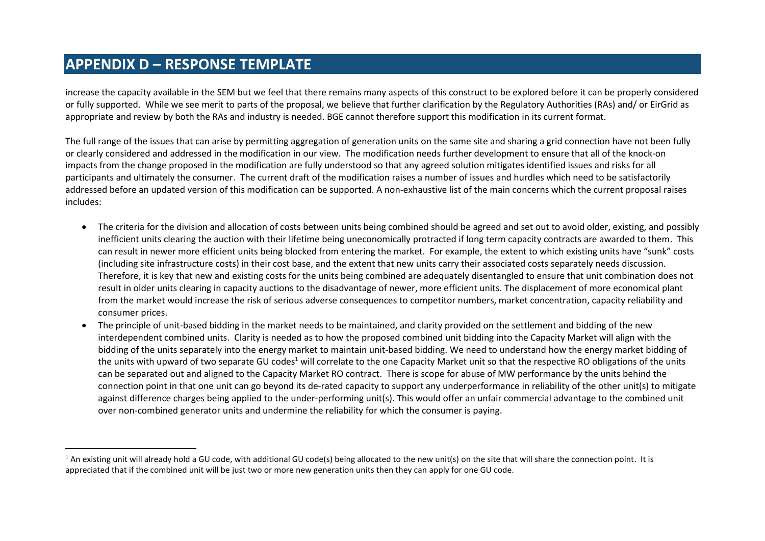increase the capacity available in the SEM but we feel that there remains many aspects of this construct to be explored before it can be properly considered or fully supported. While we see merit to parts of the proposal, we believe that further clarification by the Regulatory Authorities (RAs) and/ or EirGrid as appropriate and review by both the RAs and industry is needed. BGE cannot therefore support this modification in its current format.

The full range of the issues that can arise by permitting aggregation of generation units on the same site and sharing a grid connection have not been fully or clearly considered and addressed in the modification in our view. The modification needs further development to ensure that all of the knock-on impacts from the change proposed in the modification are fully understood so that any agreed solution mitigates identified issues and risks for all participants and ultimately the consumer. The current draft of the modification raises a number of issues and hurdles which need to be satisfactorily addressed before an updated version of this modification can be supported. A non-exhaustive list of the main concerns which the current proposal raises includes:

- The criteria for the division and allocation of costs between units being combined should be agreed and set out to avoid older, existing, and possibly inefficient units clearing the auction with their lifetime being uneconomically protracted if long term capacity contracts are awarded to them. This can result in newer more efficient units being blocked from entering the market. For example, the extent to which existing units have "sunk" costs (including site infrastructure costs) in their cost base, and the extent that new units carry their associated costs separately needs discussion. Therefore, it is key that new and existing costs for the units being combined are adequately disentangled to ensure that unit combination does not result in older units clearing in capacity auctions to the disadvantage of newer, more efficient units. The displacement of more economical plant from the market would increase the risk of serious adverse consequences to competitor numbers, market concentration, capacity reliability and consumer prices.
- The principle of unit-based bidding in the market needs to be maintained, and clarity provided on the settlement and bidding of the new interdependent combined units. Clarity is needed as to how the proposed combined unit bidding into the Capacity Market will align with the bidding of the units separately into the energy market to maintain unit-based bidding. We need to understand how the energy market bidding of the units with upward of two separate GU codes<sup>1</sup> will correlate to the one Capacity Market unit so that the respective RO obligations of the units can be separated out and aligned to the Capacity Market RO contract. There is scope for abuse of MW performance by the units behind the connection point in that one unit can go beyond its de-rated capacity to support any underperformance in reliability of the other unit(s) to mitigate against difference charges being applied to the under-performing unit(s). This would offer an unfair commercial advantage to the combined unit over non-combined generator units and undermine the reliability for which the consumer is paying.

 $1$  An existing unit will already hold a GU code, with additional GU code(s) being allocated to the new unit(s) on the site that will share the connection point. It is appreciated that if the combined unit will be just two or more new generation units then they can apply for one GU code.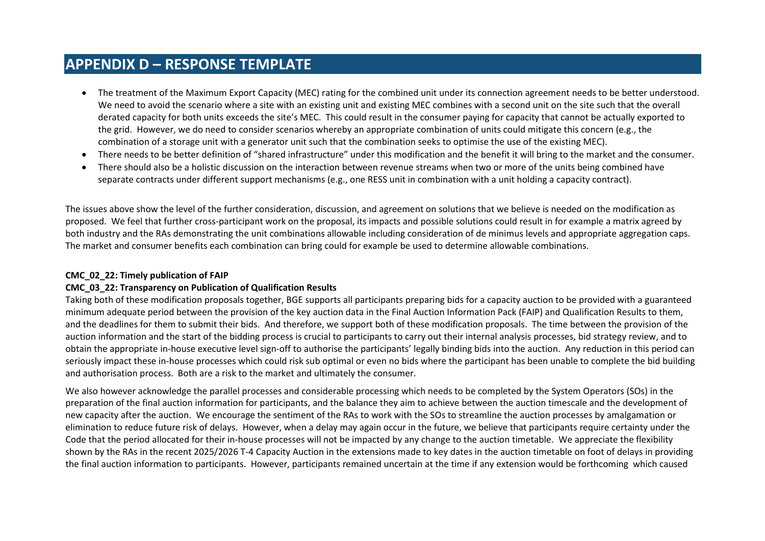- The treatment of the Maximum Export Capacity (MEC) rating for the combined unit under its connection agreement needs to be better understood. We need to avoid the scenario where a site with an existing unit and existing MEC combines with a second unit on the site such that the overall derated capacity for both units exceeds the site's MEC. This could result in the consumer paying for capacity that cannot be actually exported to the grid. However, we do need to consider scenarios whereby an appropriate combination of units could mitigate this concern (e.g., the combination of a storage unit with a generator unit such that the combination seeks to optimise the use of the existing MEC).
- There needs to be better definition of "shared infrastructure" under this modification and the benefit it will bring to the market and the consumer.
- There should also be a holistic discussion on the interaction between revenue streams when two or more of the units being combined have separate contracts under different support mechanisms (e.g., one RESS unit in combination with a unit holding a capacity contract).

The issues above show the level of the further consideration, discussion, and agreement on solutions that we believe is needed on the modification as proposed. We feel that further cross-participant work on the proposal, its impacts and possible solutions could result in for example a matrix agreed by both industry and the RAs demonstrating the unit combinations allowable including consideration of de minimus levels and appropriate aggregation caps. The market and consumer benefits each combination can bring could for example be used to determine allowable combinations.

#### **CMC\_02\_22: Timely publication of FAIP**

#### **CMC\_03\_22: Transparency on Publication of Qualification Results**

Taking both of these modification proposals together, BGE supports all participants preparing bids for a capacity auction to be provided with a guaranteed minimum adequate period between the provision of the key auction data in the Final Auction Information Pack (FAIP) and Qualification Results to them, and the deadlines for them to submit their bids. And therefore, we support both of these modification proposals. The time between the provision of the auction information and the start of the bidding process is crucial to participants to carry out their internal analysis processes, bid strategy review, and to obtain the appropriate in-house executive level sign-off to authorise the participants' legally binding bids into the auction. Any reduction in this period can seriously impact these in-house processes which could risk sub optimal or even no bids where the participant has been unable to complete the bid building and authorisation process. Both are a risk to the market and ultimately the consumer.

We also however acknowledge the parallel processes and considerable processing which needs to be completed by the System Operators (SOs) in the preparation of the final auction information for participants, and the balance they aim to achieve between the auction timescale and the development of new capacity after the auction. We encourage the sentiment of the RAs to work with the SOs to streamline the auction processes by amalgamation or elimination to reduce future risk of delays. However, when a delay may again occur in the future, we believe that participants require certainty under the Code that the period allocated for their in-house processes will not be impacted by any change to the auction timetable. We appreciate the flexibility shown by the RAs in the recent 2025/2026 T-4 Capacity Auction in the extensions made to key dates in the auction timetable on foot of delays in providing the final auction information to participants. However, participants remained uncertain at the time if any extension would be forthcoming which caused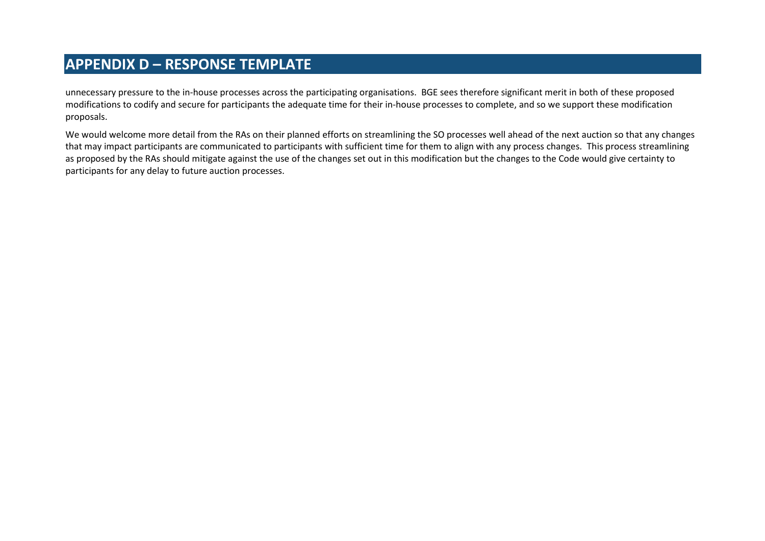unnecessary pressure to the in-house processes across the participating organisations. BGE sees therefore significant merit in both of these proposed modifications to codify and secure for participants the adequate time for their in-house processes to complete, and so we support these modification proposals.

We would welcome more detail from the RAs on their planned efforts on streamlining the SO processes well ahead of the next auction so that any changes that may impact participants are communicated to participants with sufficient time for them to align with any process changes. This process streamlining as proposed by the RAs should mitigate against the use of the changes set out in this modification but the changes to the Code would give certainty to participants for any delay to future auction processes.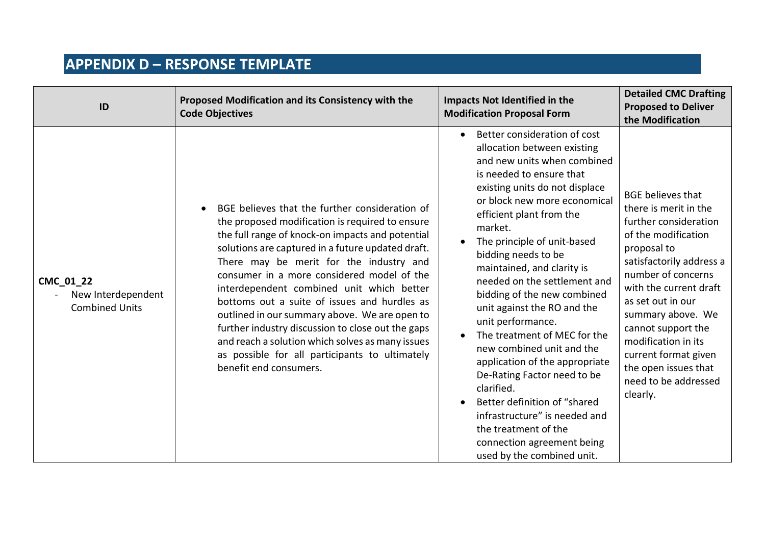| ID                                                       | Proposed Modification and its Consistency with the<br><b>Code Objectives</b>                                                                                                                                                                                                                                                                                                                                                                                                                                                                                                                                                           | <b>Impacts Not Identified in the</b><br><b>Modification Proposal Form</b>                                                                                                                                                                                                                                                                                                                                                                                                                                                                                                                                                                                                                                                               | <b>Detailed CMC Drafting</b><br><b>Proposed to Deliver</b><br>the Modification                                                                                                                                                                                                                                                                                          |
|----------------------------------------------------------|----------------------------------------------------------------------------------------------------------------------------------------------------------------------------------------------------------------------------------------------------------------------------------------------------------------------------------------------------------------------------------------------------------------------------------------------------------------------------------------------------------------------------------------------------------------------------------------------------------------------------------------|-----------------------------------------------------------------------------------------------------------------------------------------------------------------------------------------------------------------------------------------------------------------------------------------------------------------------------------------------------------------------------------------------------------------------------------------------------------------------------------------------------------------------------------------------------------------------------------------------------------------------------------------------------------------------------------------------------------------------------------------|-------------------------------------------------------------------------------------------------------------------------------------------------------------------------------------------------------------------------------------------------------------------------------------------------------------------------------------------------------------------------|
| CMC_01_22<br>New Interdependent<br><b>Combined Units</b> | BGE believes that the further consideration of<br>the proposed modification is required to ensure<br>the full range of knock-on impacts and potential<br>solutions are captured in a future updated draft.<br>There may be merit for the industry and<br>consumer in a more considered model of the<br>interdependent combined unit which better<br>bottoms out a suite of issues and hurdles as<br>outlined in our summary above. We are open to<br>further industry discussion to close out the gaps<br>and reach a solution which solves as many issues<br>as possible for all participants to ultimately<br>benefit end consumers. | Better consideration of cost<br>allocation between existing<br>and new units when combined<br>is needed to ensure that<br>existing units do not displace<br>or block new more economical<br>efficient plant from the<br>market.<br>The principle of unit-based<br>bidding needs to be<br>maintained, and clarity is<br>needed on the settlement and<br>bidding of the new combined<br>unit against the RO and the<br>unit performance.<br>The treatment of MEC for the<br>new combined unit and the<br>application of the appropriate<br>De-Rating Factor need to be<br>clarified.<br>Better definition of "shared<br>infrastructure" is needed and<br>the treatment of the<br>connection agreement being<br>used by the combined unit. | <b>BGE believes that</b><br>there is merit in the<br>further consideration<br>of the modification<br>proposal to<br>satisfactorily address a<br>number of concerns<br>with the current draft<br>as set out in our<br>summary above. We<br>cannot support the<br>modification in its<br>current format given<br>the open issues that<br>need to be addressed<br>clearly. |